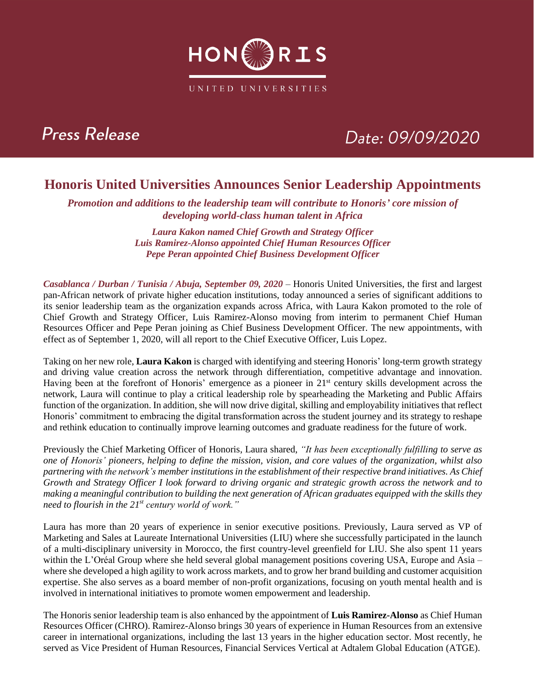

### **Press Release**

# Date: 09/09/2020

### **Honoris United Universities Announces Senior Leadership Appointments**

*Promotion and additions to the leadership team will contribute to Honoris' core mission of developing world-class human talent in Africa*

> *Laura Kakon named Chief Growth and Strategy Officer Luis Ramirez-Alonso appointed Chief Human Resources Officer Pepe Peran appointed Chief Business Development Officer*

*Casablanca / Durban / Tunisia / Abuja, September 09, 2020 –* Honoris United Universities, the first and largest pan-African network of private higher education institutions, today announced a series of significant additions to its senior leadership team as the organization expands across Africa, with Laura Kakon promoted to the role of Chief Growth and Strategy Officer, Luis Ramirez-Alonso moving from interim to permanent Chief Human Resources Officer and Pepe Peran joining as Chief Business Development Officer. The new appointments, with effect as of September 1, 2020, will all report to the Chief Executive Officer, Luis Lopez.

Taking on her new role, **Laura Kakon** is charged with identifying and steering Honoris' long-term growth strategy and driving value creation across the network through differentiation, competitive advantage and innovation. Having been at the forefront of Honoris' emergence as a pioneer in 21st century skills development across the network, Laura will continue to play a critical leadership role by spearheading the Marketing and Public Affairs function of the organization. In addition, she will now drive digital, skilling and employability initiatives that reflect Honoris' commitment to embracing the digital transformation across the student journey and its strategy to reshape and rethink education to continually improve learning outcomes and graduate readiness for the future of work.

Previously the Chief Marketing Officer of Honoris, Laura shared, *"It has been exceptionally fulfilling to serve as one of Honoris' pioneers, helping to define the mission, vision, and core values of the organization, whilst also partnering with the network's member institutions in the establishment of their respective brand initiatives. As Chief Growth and Strategy Officer I look forward to driving organic and strategic growth across the network and to making a meaningful contribution to building the next generation of African graduates equipped with the skills they need to flourish in the 21st century world of work."*

Laura has more than 20 years of experience in senior executive positions. Previously, Laura served as VP of Marketing and Sales at Laureate International Universities (LIU) where she successfully participated in the launch of a multi-disciplinary university in Morocco, the first country-level greenfield for LIU. She also spent 11 years within the L'Oréal Group where she held several global management positions covering USA, Europe and Asia – where she developed a high agility to work across markets, and to grow her brand building and customer acquisition expertise. She also serves as a board member of non-profit organizations, focusing on youth mental health and is involved in international initiatives to promote women empowerment and leadership.

The Honoris senior leadership team is also enhanced by the appointment of **Luis Ramirez-Alonso** as Chief Human Resources Officer (CHRO). Ramirez-Alonso brings 30 years of experience in Human Resources from an extensive career in international organizations, including the last 13 years in the higher education sector. Most recently, he served as Vice President of Human Resources, Financial Services Vertical at Adtalem Global Education (ATGE).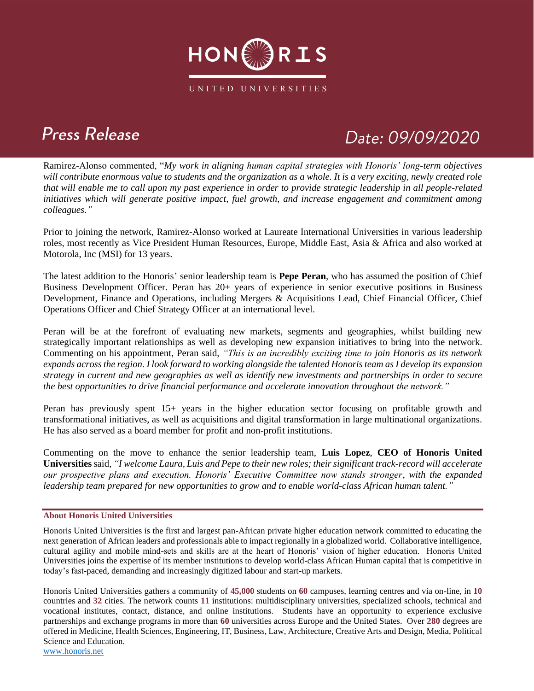

# **Press Release**

# Date: 09/09/2020

Ramirez-Alonso commented, "*My work in aligning human capital strategies with Honoris' long-term objectives will contribute enormous value to students and the organization as a whole. It is a very exciting, newly created role that will enable me to call upon my past experience in order to provide strategic leadership in all people-related initiatives which will generate positive impact, fuel growth, and increase engagement and commitment among colleagues."*

Prior to joining the network, Ramirez-Alonso worked at Laureate International Universities in various leadership roles, most recently as Vice President Human Resources, Europe, Middle East, Asia & Africa and also worked at Motorola, Inc (MSI) for 13 years.

The latest addition to the Honoris' senior leadership team is **Pepe Peran**, who has assumed the position of Chief Business Development Officer. Peran has 20+ years of experience in senior executive positions in Business Development, Finance and Operations, including Mergers & Acquisitions Lead, Chief Financial Officer, Chief Operations Officer and Chief Strategy Officer at an international level.

Peran will be at the forefront of evaluating new markets, segments and geographies, whilst building new strategically important relationships as well as developing new expansion initiatives to bring into the network. Commenting on his appointment, Peran said, *"This is an incredibly exciting time to join Honoris as its network expands across the region. I look forward to working alongside the talented Honoris team as I develop its expansion strategy in current and new geographies as well as identify new investments and partnerships in order to secure the best opportunities to drive financial performance and accelerate innovation throughout the network."*

Peran has previously spent 15+ years in the higher education sector focusing on profitable growth and transformational initiatives, as well as acquisitions and digital transformation in large multinational organizations. He has also served as a board member for profit and non-profit institutions.

Commenting on the move to enhance the senior leadership team, **Luis Lopez**, **CEO of Honoris United Universities** said, *"I welcome Laura, Luis and Pepe to their new roles; their significant track-record will accelerate our prospective plans and execution. Honoris' Executive Committee now stands stronger, with the expanded leadership team prepared for new opportunities to grow and to enable world-class African human talent."*

#### **About Honoris United Universities**

Honoris United Universities is the first and largest pan-African private higher education network committed to educating the next generation of African leaders and professionals able to impact regionally in a globalized world. Collaborative intelligence, cultural agility and mobile mind-sets and skills are at the heart of Honoris' vision of higher education. Honoris United Universities joins the expertise of its member institutions to develop world-class African Human capital that is competitive in today's fast-paced, demanding and increasingly digitized labour and start-up markets.

Honoris United Universities gathers a community of **45,000** students on **60** campuses, learning centres and via on-line, in **10** countries and **32** cities. The network counts **11** institutions: multidisciplinary universities, specialized schools, technical and vocational institutes, contact, distance, and online institutions. Students have an opportunity to experience exclusive partnerships and exchange programs in more than **60** universities across Europe and the United States. Over **280** degrees are offered in Medicine, Health Sciences, Engineering, IT, Business, Law, Architecture, Creative Arts and Design, Media, Political Science and Education.

[www.honoris.net](http://www.honoris.net/)